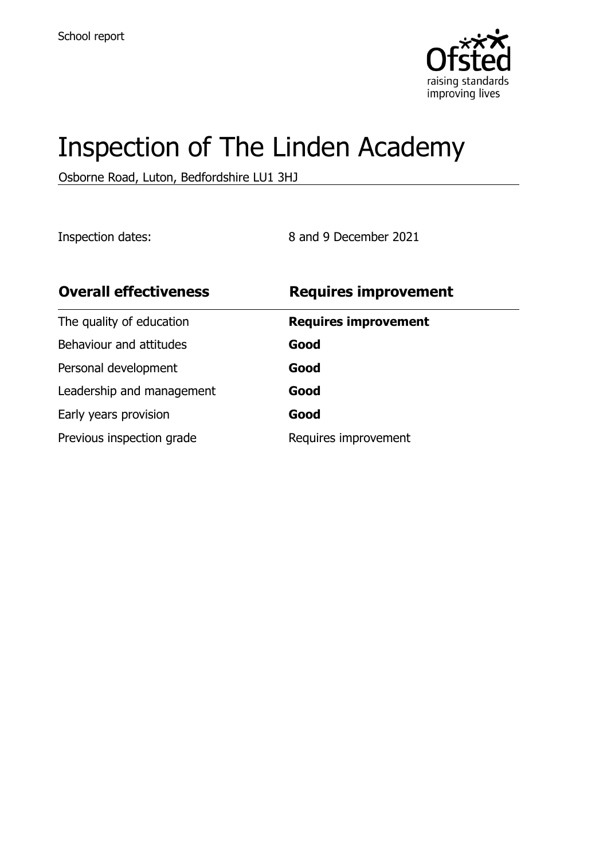

# Inspection of The Linden Academy

Osborne Road, Luton, Bedfordshire LU1 3HJ

Inspection dates: 8 and 9 December 2021

| <b>Overall effectiveness</b> | <b>Requires improvement</b> |
|------------------------------|-----------------------------|
| The quality of education     | <b>Requires improvement</b> |
| Behaviour and attitudes      | Good                        |
| Personal development         | Good                        |
| Leadership and management    | Good                        |
| Early years provision        | Good                        |
| Previous inspection grade    | Requires improvement        |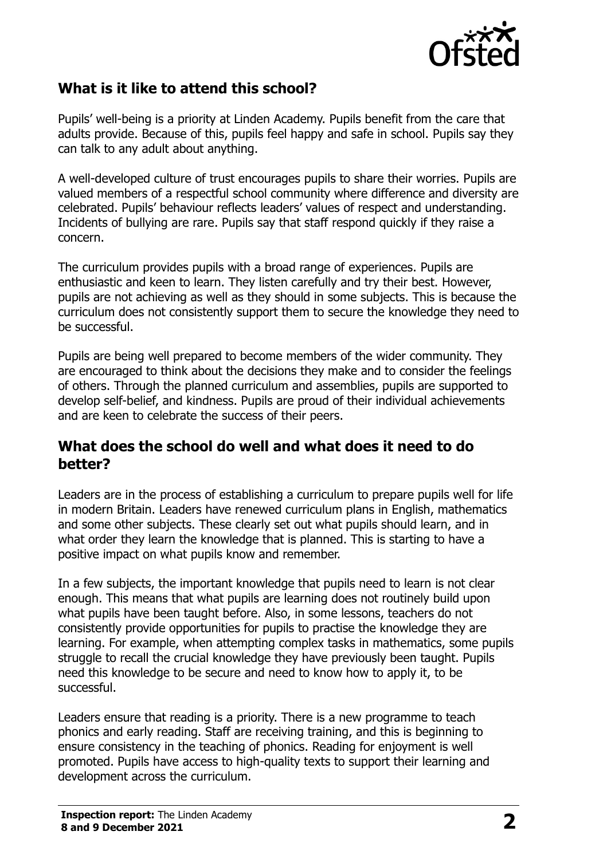

#### **What is it like to attend this school?**

Pupils' well-being is a priority at Linden Academy. Pupils benefit from the care that adults provide. Because of this, pupils feel happy and safe in school. Pupils say they can talk to any adult about anything.

A well-developed culture of trust encourages pupils to share their worries. Pupils are valued members of a respectful school community where difference and diversity are celebrated. Pupils' behaviour reflects leaders' values of respect and understanding. Incidents of bullying are rare. Pupils say that staff respond quickly if they raise a concern.

The curriculum provides pupils with a broad range of experiences. Pupils are enthusiastic and keen to learn. They listen carefully and try their best. However, pupils are not achieving as well as they should in some subjects. This is because the curriculum does not consistently support them to secure the knowledge they need to be successful.

Pupils are being well prepared to become members of the wider community. They are encouraged to think about the decisions they make and to consider the feelings of others. Through the planned curriculum and assemblies, pupils are supported to develop self-belief, and kindness. Pupils are proud of their individual achievements and are keen to celebrate the success of their peers.

#### **What does the school do well and what does it need to do better?**

Leaders are in the process of establishing a curriculum to prepare pupils well for life in modern Britain. Leaders have renewed curriculum plans in English, mathematics and some other subjects. These clearly set out what pupils should learn, and in what order they learn the knowledge that is planned. This is starting to have a positive impact on what pupils know and remember.

In a few subjects, the important knowledge that pupils need to learn is not clear enough. This means that what pupils are learning does not routinely build upon what pupils have been taught before. Also, in some lessons, teachers do not consistently provide opportunities for pupils to practise the knowledge they are learning. For example, when attempting complex tasks in mathematics, some pupils struggle to recall the crucial knowledge they have previously been taught. Pupils need this knowledge to be secure and need to know how to apply it, to be successful.

Leaders ensure that reading is a priority. There is a new programme to teach phonics and early reading. Staff are receiving training, and this is beginning to ensure consistency in the teaching of phonics. Reading for enjoyment is well promoted. Pupils have access to high-quality texts to support their learning and development across the curriculum.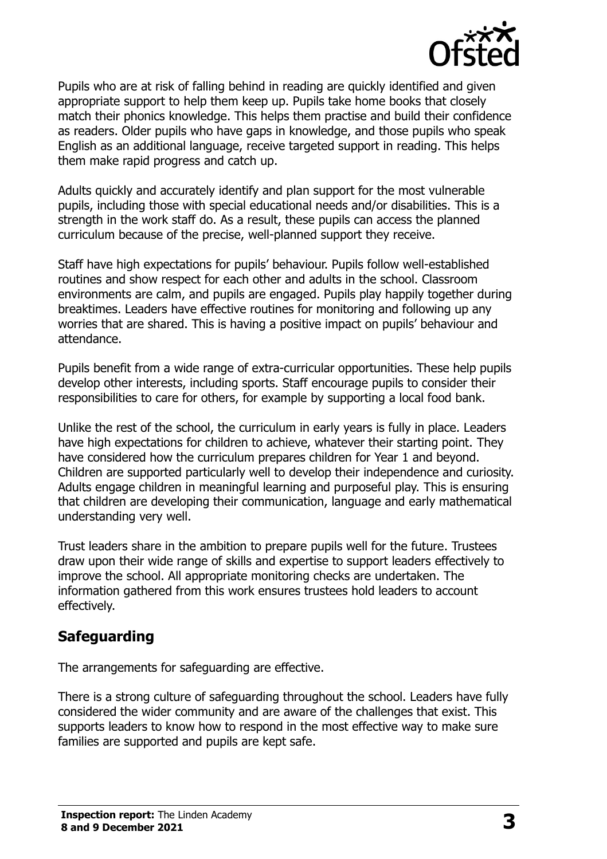

Pupils who are at risk of falling behind in reading are quickly identified and given appropriate support to help them keep up. Pupils take home books that closely match their phonics knowledge. This helps them practise and build their confidence as readers. Older pupils who have gaps in knowledge, and those pupils who speak English as an additional language, receive targeted support in reading. This helps them make rapid progress and catch up.

Adults quickly and accurately identify and plan support for the most vulnerable pupils, including those with special educational needs and/or disabilities. This is a strength in the work staff do. As a result, these pupils can access the planned curriculum because of the precise, well-planned support they receive.

Staff have high expectations for pupils' behaviour. Pupils follow well-established routines and show respect for each other and adults in the school. Classroom environments are calm, and pupils are engaged. Pupils play happily together during breaktimes. Leaders have effective routines for monitoring and following up any worries that are shared. This is having a positive impact on pupils' behaviour and attendance.

Pupils benefit from a wide range of extra-curricular opportunities. These help pupils develop other interests, including sports. Staff encourage pupils to consider their responsibilities to care for others, for example by supporting a local food bank.

Unlike the rest of the school, the curriculum in early years is fully in place. Leaders have high expectations for children to achieve, whatever their starting point. They have considered how the curriculum prepares children for Year 1 and beyond. Children are supported particularly well to develop their independence and curiosity. Adults engage children in meaningful learning and purposeful play. This is ensuring that children are developing their communication, language and early mathematical understanding very well.

Trust leaders share in the ambition to prepare pupils well for the future. Trustees draw upon their wide range of skills and expertise to support leaders effectively to improve the school. All appropriate monitoring checks are undertaken. The information gathered from this work ensures trustees hold leaders to account effectively.

# **Safeguarding**

The arrangements for safeguarding are effective.

There is a strong culture of safeguarding throughout the school. Leaders have fully considered the wider community and are aware of the challenges that exist. This supports leaders to know how to respond in the most effective way to make sure families are supported and pupils are kept safe.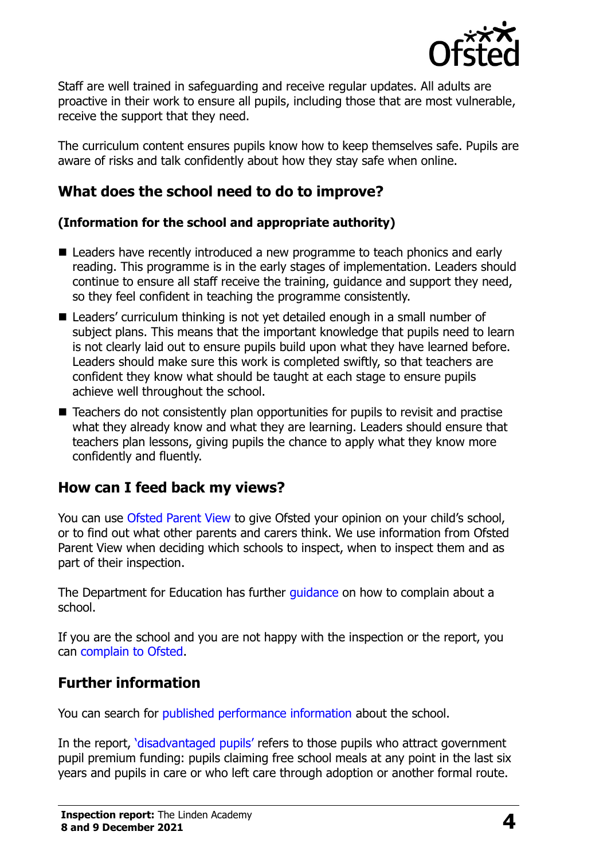

Staff are well trained in safeguarding and receive regular updates. All adults are proactive in their work to ensure all pupils, including those that are most vulnerable, receive the support that they need.

The curriculum content ensures pupils know how to keep themselves safe. Pupils are aware of risks and talk confidently about how they stay safe when online.

#### **What does the school need to do to improve?**

#### **(Information for the school and appropriate authority)**

- Leaders have recently introduced a new programme to teach phonics and early reading. This programme is in the early stages of implementation. Leaders should continue to ensure all staff receive the training, guidance and support they need, so they feel confident in teaching the programme consistently.
- Leaders' curriculum thinking is not yet detailed enough in a small number of subject plans. This means that the important knowledge that pupils need to learn is not clearly laid out to ensure pupils build upon what they have learned before. Leaders should make sure this work is completed swiftly, so that teachers are confident they know what should be taught at each stage to ensure pupils achieve well throughout the school.
- Teachers do not consistently plan opportunities for pupils to revisit and practise what they already know and what they are learning. Leaders should ensure that teachers plan lessons, giving pupils the chance to apply what they know more confidently and fluently.

# **How can I feed back my views?**

You can use [Ofsted Parent View](http://parentview.ofsted.gov.uk/) to give Ofsted your opinion on your child's school, or to find out what other parents and carers think. We use information from Ofsted Parent View when deciding which schools to inspect, when to inspect them and as part of their inspection.

The Department for Education has further quidance on how to complain about a school.

If you are the school and you are not happy with the inspection or the report, you can [complain to Ofsted.](http://www.gov.uk/complain-ofsted-report)

#### **Further information**

You can search for [published performance information](http://www.compare-school-performance.service.gov.uk/) about the school.

In the report, '[disadvantaged pupils](http://www.gov.uk/guidance/pupil-premium-information-for-schools-and-alternative-provision-settings)' refers to those pupils who attract government pupil premium funding: pupils claiming free school meals at any point in the last six years and pupils in care or who left care through adoption or another formal route.

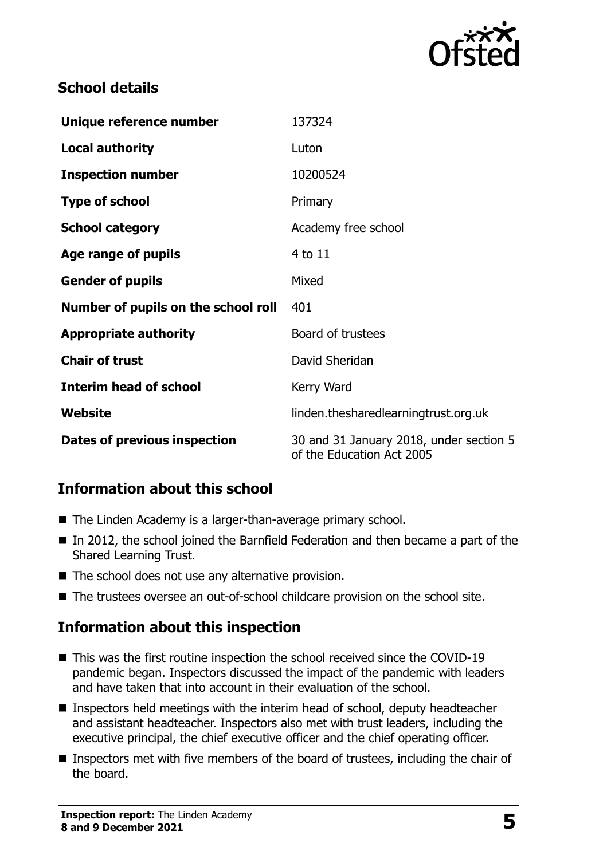

#### **School details**

| Unique reference number             | 137324                                                               |
|-------------------------------------|----------------------------------------------------------------------|
| <b>Local authority</b>              | Luton                                                                |
| <b>Inspection number</b>            | 10200524                                                             |
| <b>Type of school</b>               | Primary                                                              |
| <b>School category</b>              | Academy free school                                                  |
| Age range of pupils                 | 4 to 11                                                              |
| <b>Gender of pupils</b>             | Mixed                                                                |
| Number of pupils on the school roll | 401                                                                  |
| <b>Appropriate authority</b>        | Board of trustees                                                    |
| <b>Chair of trust</b>               | David Sheridan                                                       |
| <b>Interim head of school</b>       | Kerry Ward                                                           |
| Website                             | linden.thesharedlearningtrust.org.uk                                 |
| Dates of previous inspection        | 30 and 31 January 2018, under section 5<br>of the Education Act 2005 |

# **Information about this school**

- The Linden Academy is a larger-than-average primary school.
- In 2012, the school joined the Barnfield Federation and then became a part of the Shared Learning Trust.
- $\blacksquare$  The school does not use any alternative provision.
- The trustees oversee an out-of-school childcare provision on the school site.

# **Information about this inspection**

- This was the first routine inspection the school received since the COVID-19 pandemic began. Inspectors discussed the impact of the pandemic with leaders and have taken that into account in their evaluation of the school.
- Inspectors held meetings with the interim head of school, deputy headteacher and assistant headteacher. Inspectors also met with trust leaders, including the executive principal, the chief executive officer and the chief operating officer.
- Inspectors met with five members of the board of trustees, including the chair of the board.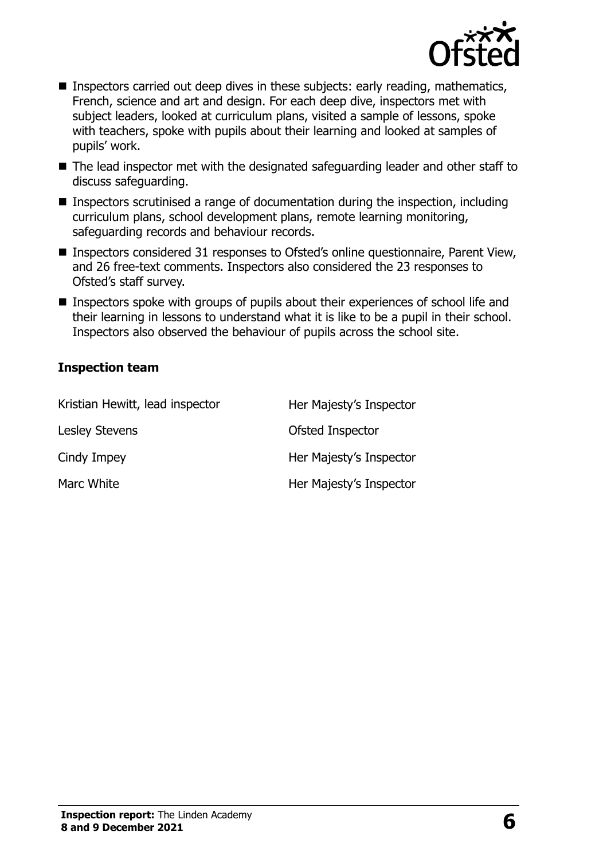

- **Inspectors carried out deep dives in these subjects: early reading, mathematics,** French, science and art and design. For each deep dive, inspectors met with subject leaders, looked at curriculum plans, visited a sample of lessons, spoke with teachers, spoke with pupils about their learning and looked at samples of pupils' work.
- The lead inspector met with the designated safeguarding leader and other staff to discuss safeguarding.
- **Inspectors scrutinised a range of documentation during the inspection, including** curriculum plans, school development plans, remote learning monitoring, safeguarding records and behaviour records.
- Inspectors considered 31 responses to Ofsted's online questionnaire, Parent View, and 26 free-text comments. Inspectors also considered the 23 responses to Ofsted's staff survey.
- Inspectors spoke with groups of pupils about their experiences of school life and their learning in lessons to understand what it is like to be a pupil in their school. Inspectors also observed the behaviour of pupils across the school site.

#### **Inspection team**

| Kristian Hewitt, lead inspector | Her Majesty's Inspector |
|---------------------------------|-------------------------|
| <b>Lesley Stevens</b>           | Ofsted Inspector        |
| Cindy Impey                     | Her Majesty's Inspector |
| Marc White                      | Her Majesty's Inspector |